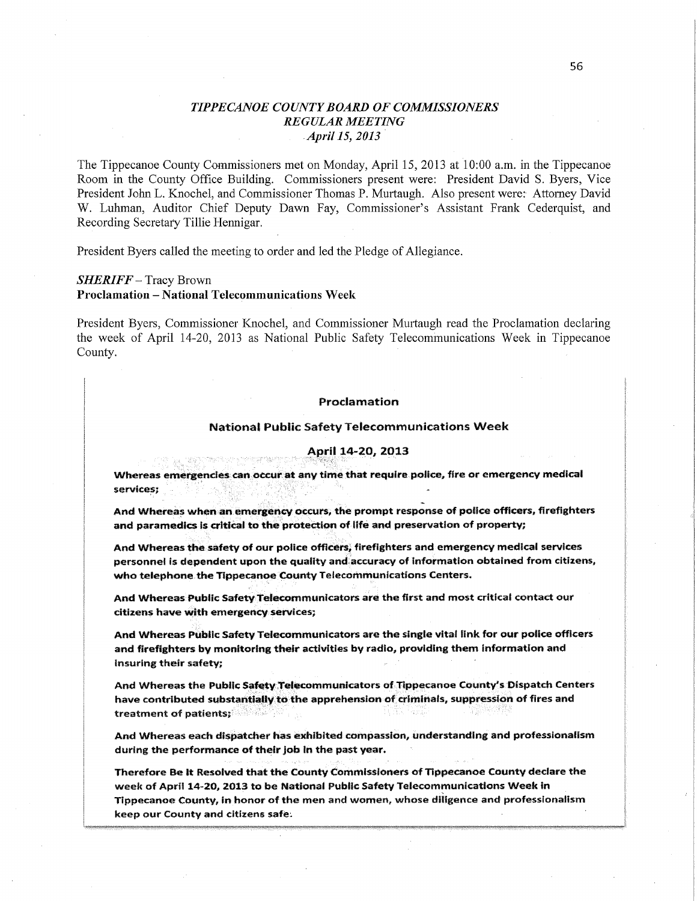# *TIPPE CANOE COUNT Y BOARD* **OF** *COMMISSIONERS*   $REGULAR MEETING$ *,Apri115, 2013*

**The** Tippecanoe County Commissioners **met on** Monday, April **15,** 2013 **at** 10:00 **am. in the** Tippecanoe Room **in the** County Office Building. Commissioners present were: President David **S.** Byers, **Vice**  President John **L.** Knochel, **and** Commissioner Thomas **P.** Murtaugh. Also present were: Attorney David **W.** Luhman, Auditor **Chief** Deputy Dawn Fay, Commissioner's Assistant Frank Cederquist, **and**  Recording Secretary Tillie Hennigar.

President Byers called **the** meeting **to** order **and led the** Pledge **of** Allegiance.

### *SHERIFF* — Tracy Brown **Proclamation** — **National** Telecommunications **Week**

President Byers, Commissioner Knochel, and Commissioner Murtaugh read the Proclamation declaring **the** week **of** April **14— 20,** 2013 **as** National Public Safety Telecommunications Week **in** Tippecanoe County.

#### **Proclamation**

#### **National Public Safety Tetecommunicatlons Week**

## **<sup>l</sup>14-29, 2013 ,5**

**Whereas emergencies can occur at any timé that require police, fire or emergency medical**   $s$ ervices;

**And Whereas when ah ameffiéhw incurs, the prompt respénsa of police officers, firefighters and paramedics is critical to the protection of fifé and preservation of nroparty;** 

**And Whereas the safety of our police officers, firefighters and emergency medical services personnel is dependent upon the quailtv and accuracy of Information obtained from citizens, who telephone the Tippecanoe County Telecommunications Centers.** 

**And Whereas Public Safety Telewmmunicators are the first and most critica! contact our citizens have with emergency services;** 

**And Whereas Phbllc Safety Telecommunicators are the single vital link for our police officers and firefighters by monitoring their activities by** radio, **providing them infarmatian and Insuring their safety;** 

**And Whereas the Public Safety 1e1mmmunicators of Tippecanoe County's {Dispatch Centers have contributed substantlaily tn the apprehension of: criminats, suppression of fires and treatment of patients; <b>***w w w w w n n n n n n n n n n n n n n n n n n n n n n n n n n n n* 같이 그들까?

And Whereas each dispatcher has exhibited compassion, understanding and professionalism **during the performance of their joint in the past year.** 

**Therefore Be :1: Resoived that the County Commissioners cf "pageant" County deflate the week of Aprfi** 1440, **2913 ta be Natiorsai Puma: Safety Talecommunications Week in Tippecanoe County, in** honor **of the men and** women, **whose diiigence and professionaflsm keep our County and citizens safe; '**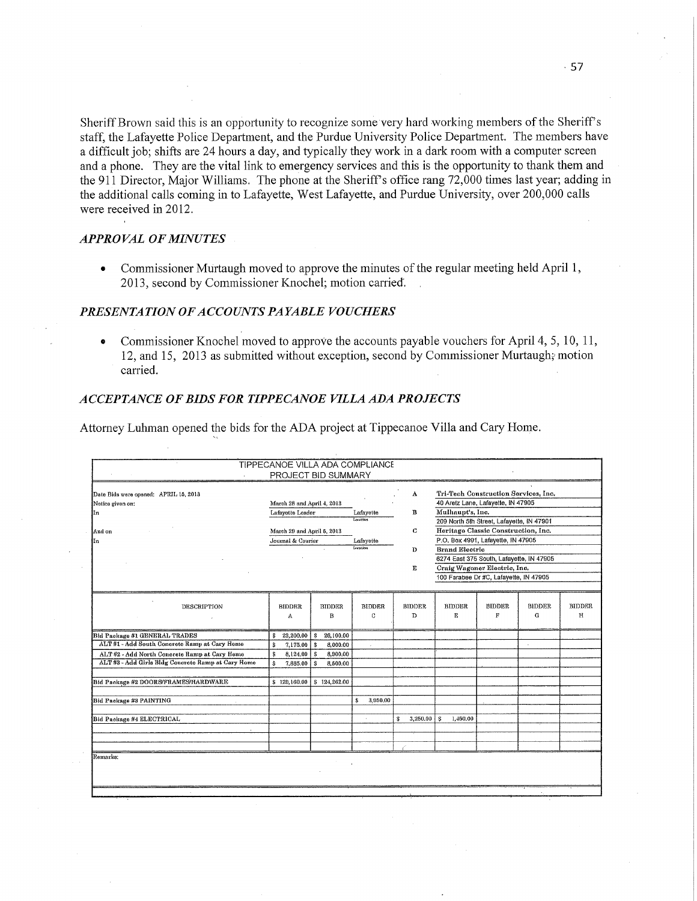Sheriff Brown said this is an opportunity to recognize some very hard working members of the Sheriff's staff, the Lafayette Police Department, and the Purdue University Police Department. The members have a difficult job; shifts are 24 hours a day, and typically they work in a dark room with a computer screen and a phone. They are the vital link to emergency services and this is the opportunity to thank them and the 911 Director, Major Williams. The phone at the Sheriff's office rang 72,000 times last year; adding in the additional calls coming in to Lafayette, West Lafayette, and Purdue University, over 200,000 calls were received in 2012.

## **APPROVAL OF MINUTES**

Commissioner Murtaugh moved to approve the minutes of the regular meeting held April 1,  $\bullet$ 2013, second by Commissioner Knochel; motion carried.

# PRESENTATION OF ACCOUNTS PAYABLE VOUCHERS

Commissioner Knochel moved to approve the accounts payable vouchers for April 4, 5, 10, 11,  $\bullet$ 12, and 15, 2013 as submitted without exception, second by Commissioner Murtaugh; motion carried.

#### ACCEPTANCE OF BIDS FOR TIPPECANOE VILLA ADA PROJECTS

Attorney Luhman opened the bids for the ADA project at Tippecanoe Villa and Cary Home.

|                                                   | TIPPECANOE VILLA ADA COMPLIANCE | PROJECT BID SUMMARY |               |                |                                           |               |               |               |
|---------------------------------------------------|---------------------------------|---------------------|---------------|----------------|-------------------------------------------|---------------|---------------|---------------|
| Date Bids were opened: APRIL 15, 2013             |                                 |                     |               | A              | Tri-Tech Construction Services, Inc.      |               |               |               |
| Notice given on:                                  | March 28 and April 4, 2013      |                     |               |                | 40 Aretz Lane, Lafayette, IN 47905        |               |               |               |
| In                                                | Lafayette Leader                |                     | Lafayette     | B              | Mulhaupt's, Inc.                          |               |               |               |
|                                                   |                                 |                     | Location      |                | 209 North 5th Street, Lafayette, IN 47901 |               |               |               |
| And on                                            | March 29 and April 5, 2013      |                     |               | $\mathbf C$    | Heritage Classic Construction, Inc.       |               |               |               |
| In                                                | Journal & Courier               |                     | Lafayette     |                | P.O. Box 4991, Lafayette, IN 47905        |               |               |               |
|                                                   |                                 |                     | Location<br>D |                | <b>Brand Electric</b>                     |               |               |               |
|                                                   |                                 |                     |               |                | 6274 East 375 South, Lafayette, IN 47905  |               |               |               |
|                                                   |                                 |                     |               | E              | Craig Wagoner Electric, Inc.              |               |               |               |
|                                                   |                                 |                     |               |                | 100 Farabee Dr #C, Lafayette, IN 47905    |               |               |               |
|                                                   |                                 |                     |               |                |                                           |               |               |               |
| DESCRIPTION                                       | <b>BIDDER</b>                   | <b>BIDDER</b>       | <b>BIDDER</b> | <b>BIDDER</b>  | <b>BIDDER</b>                             | <b>BIDDER</b> | <b>BIDDER</b> | <b>BIDDER</b> |
|                                                   | A                               | в                   | C             | D              | E                                         | F             | G             | $\mathbf H$   |
|                                                   |                                 |                     |               |                |                                           |               |               |               |
| Bid Package #1 GENERAL TRADES                     | 23,200,00<br>\$                 | 26,100.00<br>s      |               |                |                                           |               |               |               |
| ALT #1 - Add South Concrete Ramp at Cary Home     | s<br>7,175,00                   | 8,000.00<br>\$      |               |                |                                           |               | ÷.            |               |
| ALT #2 - Add North Concrete Ramp at Cary Home     | s<br>8,124.00                   | 8,900.00<br>s.      |               |                |                                           |               |               |               |
| ALT#3 - Add Girls Bldg Concrete Ramp at Cary Home | \$.<br>7,885.00                 | 8,500.00            |               |                |                                           |               |               |               |
| Bid Package #2 DOORS/FRAMES/HARDWARE              | \$129,160.00                    | \$124,262.00        |               |                |                                           |               |               |               |
|                                                   |                                 |                     |               |                |                                           |               |               |               |
| Bid Package #3 PAINTING                           |                                 |                     | 3,950.00<br>ŝ |                |                                           |               |               |               |
|                                                   |                                 |                     |               |                |                                           |               |               |               |
| Bid Package #4 ELECTRICAL                         |                                 |                     | ÷.            | 3,250.00<br>\$ | 1,460.00<br>s                             |               |               |               |
|                                                   |                                 |                     |               |                |                                           |               |               |               |
|                                                   |                                 |                     |               |                |                                           |               |               |               |
|                                                   |                                 |                     |               |                |                                           |               |               |               |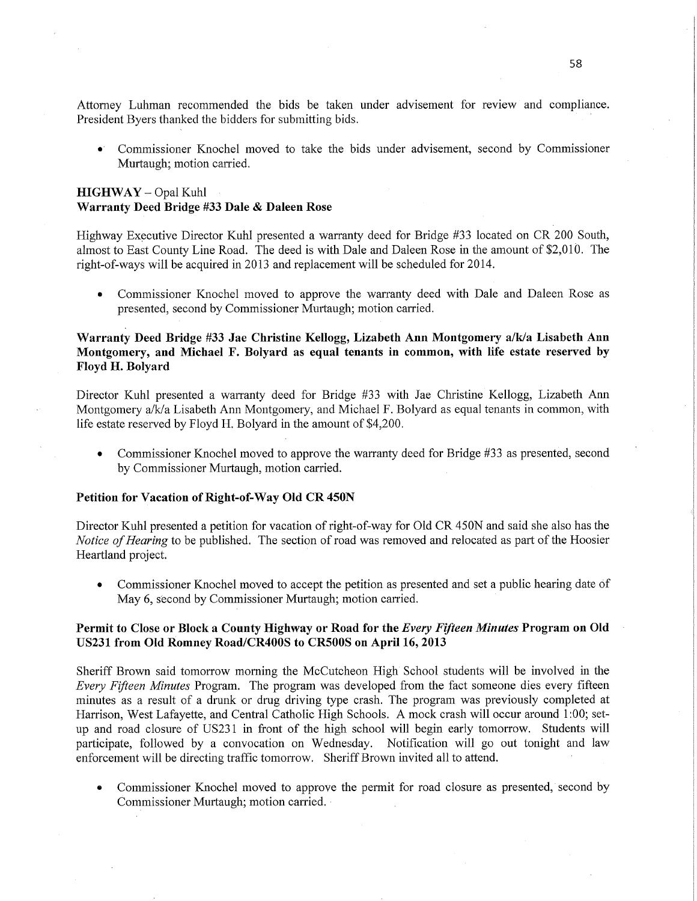Attorney Luhman recommended the bids be taken under advisement for review and compliance. President Byers thanked the bidders for submitting bids.

0' Commissioner Knochel moved to take the bids under advisement, second by Commissioner Murtaugh; motion carried.

## **HIGHWAY** — Opal Kuhl **Warranty Deed** Bridge #33 **Dale & Daleen** Rose

Highway Executive Director Kuhl presented a warranty deed for Bridge #33 located on CR 200 South, almost to East County Line Road. The deed is with Dale and Daleen Rose in the amount of \$2,010. The right—of-ways will be acquired in 2013 and replacement will be scheduled for 2014.

**0** Commissioner Knochel moved to approve the warranty deed with Dale and Daleen Rose as presented, second by Commissioner Murtaugh; motion carried.

# **Warrantsi Deed** Bridge #33 Jae **Christine** Kellogg, **Lizabeth** Ann **Montgomery** a/k/a **Lisabeth** Ann **Montgomery,** and **Michael** F. Bolyard as **equal tenants** in common, with life **estate** reserved by **Floyd** H. **Bolyard**

Director Kuhl presented a warranty deed for Bridge #33 with Jae Christine Kellogg, Lizabeth Ann Montgomery a/k/a Lisabeth Ann Montgomery, and Michael F. Bolyard as equal tenants in common, with life estate reserved by Floyd H. Bolyard in the amount of \$4,200.

**0** Commissioner Knochel moved to approve the warranty deed for Bridge #33 as presented, second by Commissioner Murtaugh, motion carried.

## Petition for **Vacation** of **Right-of—Way** Old CR **450N**

Director Kuhl presented a petition for vacation of right-of-way for Old CR 450N and said she also has the *Notice* of *Hearing* to be published. The section of road was removed and relocated as part of the Hoosier Heartland project.

**0** Commissioner Knochel moved to accept the petition as presented and set a public hearing date of May 6, second by Commissioner Murtaugh; motion carried.

## Permit to Close or **Block a County Highway** or **Road** for the *Every Fifteen Minutes* **Program** on Old USZ31 from Old **Romney Road/CR4OOS** to **CRSOOS** on **April** 16, **2013**

Sheriff Brown said tomorrow morning the McCutcheon High School students will be involved in the *Every Fifteen Minutes* Program. The program was developed from the fact someone dies every fifteen minutes as <sup>a</sup>result of a drunk or drug driving type crash. The program was previously completed at Harrison, West Lafayette, and Central Catholic High Schools. A mock crash will occur around 1:00; setup and road closure of USZ31 in front of the high school will begin early tomorrow Students will participate, followed by a convocation on Wednesday. Notification will go out tonight and law enforcement will be directing traffic tomorrow. Sheriff Brown invited all to attend.

• Commissioner Knochel moved to approve the permit for road closure as presented, second by Commissioner Murtaugh; motion carried. *-*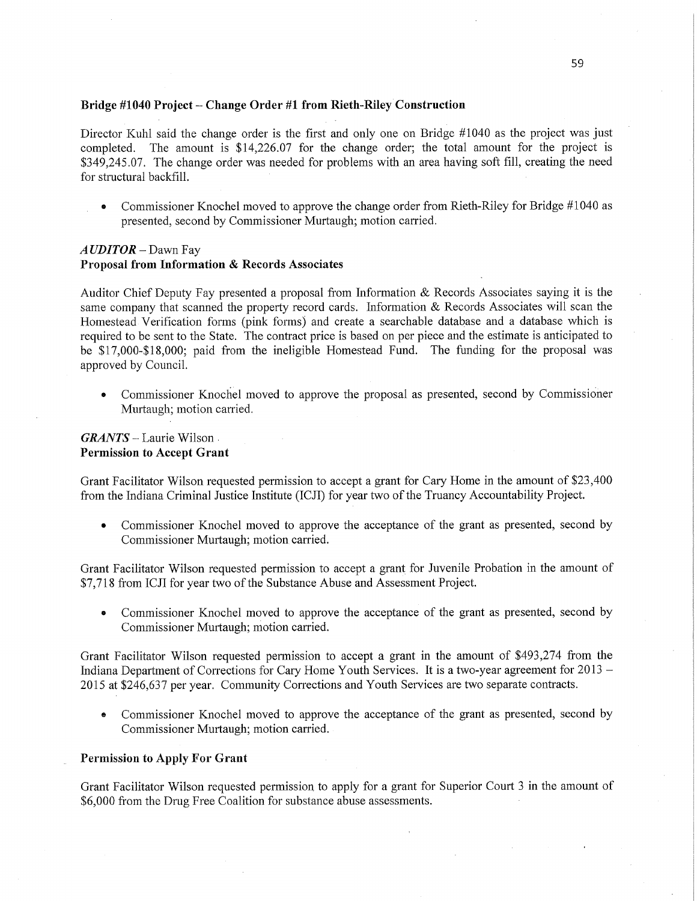#### **Bridge #1040 Project** —— **Change Order** #1 **from Rieth—Riley'Construction**

Director Kuhl said the change order is the first and only one on Bridge #1040 as the project was just completed. The amount is \$14,226.07 for the change order; the total amount for the project is \$349,245.07 The change order was needed for problems with an area **having soft** fill, creating the need for structural backfill

**0** Commissioner Knochel moved to approve the change order from Kieth-Riley for Bridge #1040 as presented, second by Commissioner Murtaugh; **motion** carried.

## A UDITOR – Dawn Fay **Proposal from Information & Records Associates**

Auditor Chief Deputy Fay presented **a** proposal from Information & Records Associates saying it is the same company that scanned the property record cards. Information & Records Associates will scan the Homestead Verification forms (pink forms) and create a searchable database and a database which is required to be sent to the State. The contract price is based on per piece and the estimate is anticipated to be \$17,000-\$18,000; paid from the ineligible Homestead **Fund.** The **funding** for the proposal was approved by Council.

**0 Commissioner** Knochel moved to approve the proposal as presented, second by Commissioher Murtaugh; motion carried.

## *GRANTS* - Laurie Wilson . **Permission** to **Accept Grant**

Grant Facilitator Wilson requested permission to accept a grant for Cary Home in the amount of \$23,400 from the Indiana Criminal Justice **Institute** (ICJI) for year two of the Truancy Accountability Project.

**0** Commissioner Knochel moved to approve the acceptance of the grant as presented, second by Commissioner Murtaugh; motion carried.

Grant **Facilitator** Wilson requested permission to accept a grant for Juvenile Probation in the amount of \$7,718 from ICJI for year two of the Substance Abuse and Assessment Project.

Commissioner Knochel moved to approve the acceptance of the grant as presented, second by Commissioner Murtaugh; motion carried.

Grant Facilitator Wilson requested permission to accept a grant in the amount of \$493,274 from the Indiana Department of Corrections for Cary Home Youth Services. It is **a** two-year agreement for 2013 — 2015 at \$246,637 per year. Community Corrections and Youth Services are two separate contracts.

Commissioner Knochel moved to approve the acceptance of the grant as presented, second by Commissioner Murtaugh; motion carried.

#### **Permission** to **Apply** For **Grant**

Grant Facilitator Wilson requested **permission** to apply for **a** grant for Superior Court 3 1n the amount of \$6,000 from the Drug Free Coalition for substance abuse assessments.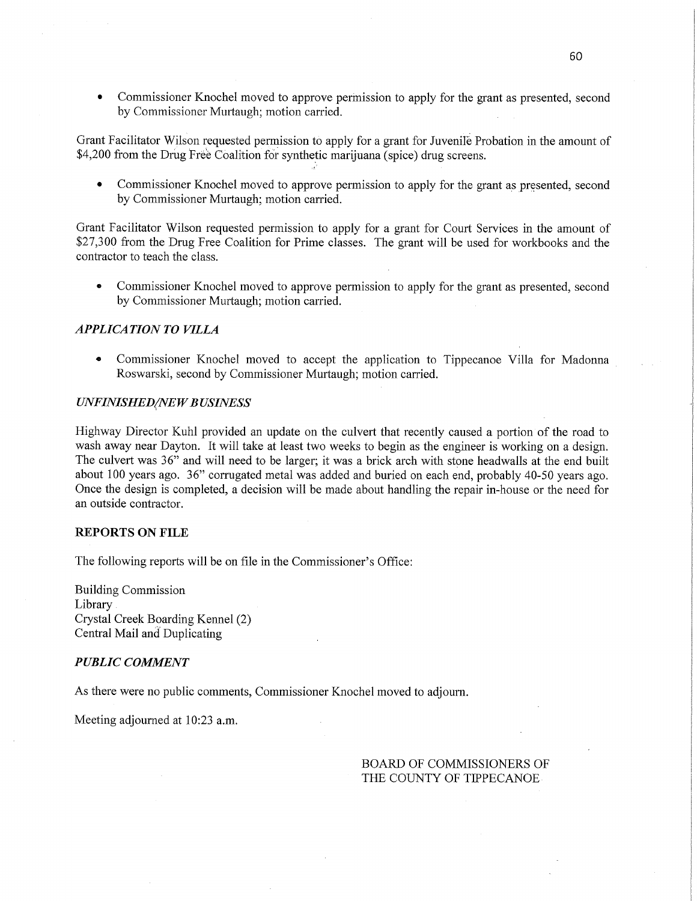**0** Commissioner Knochel moved to approve permission to apply for the grant as presented, second by Commissioner Murtaugh; motion carried.

Grant Facilitator Wilson requested permission to apply for a grant for Juvenile Probation in the amount of \$4,200 from the Drug Free Coalition for synthetic marijuana (spice) drug screens.

Commissioner Knochel moved to approve permission to apply for the grant as presented, second by Commissioner Murtaugh; motion carried.

Grant Facilitator Wilson requested permission to apply for <sup>a</sup>grant for Court **Services** in the amount of \$27,300 from the Drug Free Coalition for Prime classes. The grant will be used for workbooks and the contractor to teach the class.

**0** Commissioner Knochel moved to approve permission to apply for the grant as presented, second by Commissioner Murtaugh; motion carried.

#### *APPLICATION TO VILLA*

**0** Commissioner Knochel **moved** to accept the application to Tippecanoe Villa for Madonna *.* Roswarski, second by Commissioner Murtaugh; motion carried.

#### *UNFINISHED/NEW BUSINESS*

Highway Director Kuhl provided an update on the culvert that recently caused a portion'of the road to wash away near Dayton. It will take at least two weeks to begin as the engineer is working on a design. The culvert was 36" and will need to be larger; it was a brick arch with stone headwalls at the end built about 100 years ago. 36" corrugated metal was added and buried on each end, probably 40-50 years ago. **Once** the design is completed, a decision will be made **about** handling the repair in-house or the need for an outside contractor.

#### **REPORTS** ON **FILE**

The following reports will be on file in the Commissioner's Office:

Building Commission Library . Crystal Creek Boarding Kennel (2) Central Mail and Duplicating

#### *PUBLIC COMMENT*

As there were no public comments, Commissioner Knochel moved to adjourn.

Meeting adjourned at 10:23 a.m.

## BOARD OF COMMISSIONERS OF THE COUNTY OF TIPPECANOE-